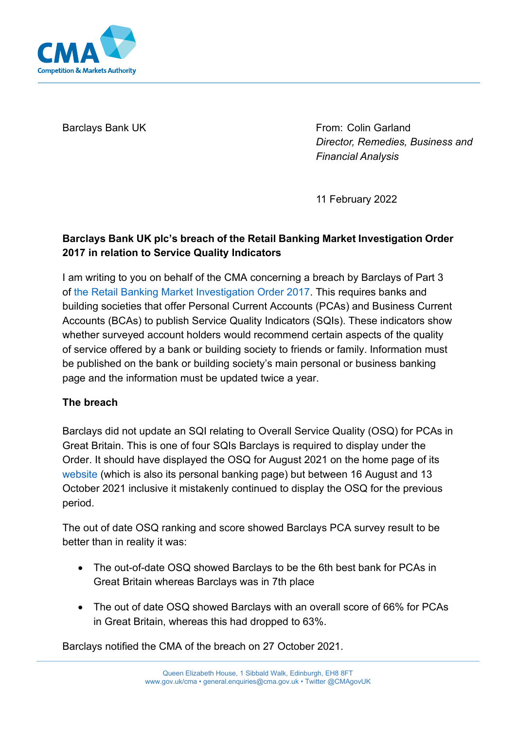

Barclays Bank UK **From: Colin Garland** *Director, Remedies, Business and Financial Analysis*

11 February 2022

## **Barclays Bank UK plc's breach of the Retail Banking Market Investigation Order 2017 in relation to Service Quality Indicators**

I am writing to you on behalf of the CMA concerning a breach by Barclays of Part 3 o[f the Retail Banking Market Investigation Order 2017.](https://assets.publishing.service.gov.uk/government/uploads/system/uploads/attachment_data/file/600842/retail-banking-market-investigation-order-2017.pdf) This requires banks and building societies that offer Personal Current Accounts (PCAs) and Business Current Accounts (BCAs) to publish Service Quality Indicators (SQIs). These indicators show whether surveyed account holders would recommend certain aspects of the quality of service offered by a bank or building society to friends or family. Information must be published on the bank or building society's main personal or business banking page and the information must be updated twice a year.

## **The breach**

Barclays did not update an SQI relating to Overall Service Quality (OSQ) for PCAs in Great Britain. This is one of four SQIs Barclays is required to display under the Order. It should have displayed the OSQ for August 2021 on the home page of its [website](https://www.barclays.co.uk/) (which is also its personal banking page) but between 16 August and 13 October 2021 inclusive it mistakenly continued to display the OSQ for the previous period.

The out of date OSQ ranking and score showed Barclays PCA survey result to be better than in reality it was:

- The out-of-date OSQ showed Barclays to be the 6th best bank for PCAs in Great Britain whereas Barclays was in 7th place
- The out of date OSQ showed Barclays with an overall score of 66% for PCAs in Great Britain, whereas this had dropped to 63%.

Barclays notified the CMA of the breach on 27 October 2021.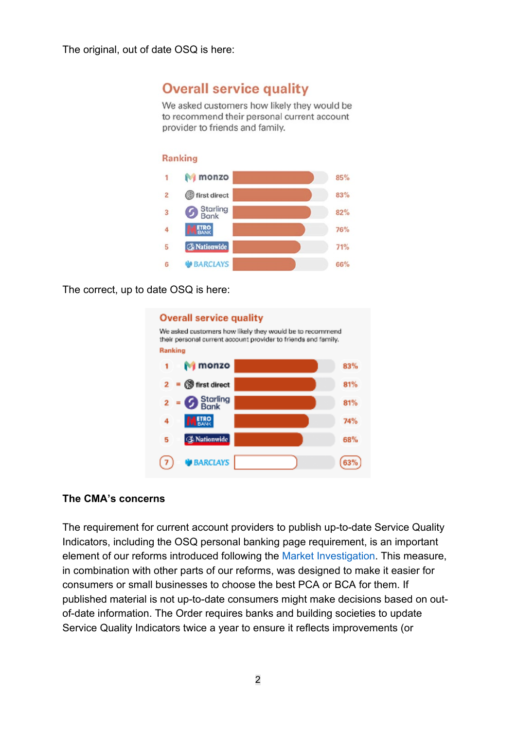The original, out of date OSQ is here:

# **Overall service quality**

We asked customers how likely they would be to recommend their personal current account provider to friends and family.

#### **Ranking**



The correct, up to date OSQ is here:



#### **The CMA's concerns**

The requirement for current account providers to publish up-to-date Service Quality Indicators, including the OSQ personal banking page requirement, is an important element of our reforms introduced following the [Market Investigation.](https://www.gov.uk/cma-cases/review-of-banking-for-small-and-medium-sized-businesses-smes-in-the-uk) This measure, in combination with other parts of our reforms, was designed to make it easier for consumers or small businesses to choose the best PCA or BCA for them. If published material is not up-to-date consumers might make decisions based on outof-date information. The Order requires banks and building societies to update Service Quality Indicators twice a year to ensure it reflects improvements (or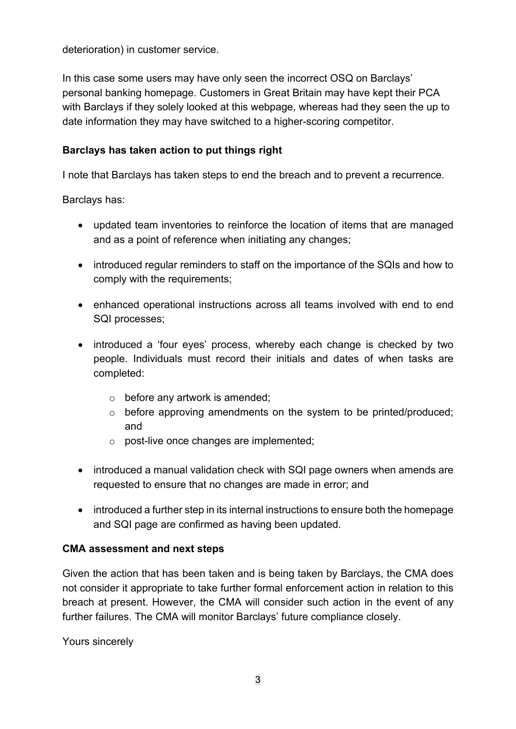deterioration) in customer service.

In this case some users may have only seen the incorrect OSQ on Barclays' personal banking homepage. Customers in Great Britain may have kept their PCA with Barclays if they solely looked at this webpage, whereas had they seen the up to date information they may have switched to a higher-scoring competitor.

## **Barclays has taken action to put things right**

I note that Barclays has taken steps to end the breach and to prevent a recurrence.

Barclays has:

- updated team inventories to reinforce the location of items that are managed and as a point of reference when initiating any changes;
- introduced regular reminders to staff on the importance of the SQIs and how to comply with the requirements;
- enhanced operational instructions across all teams involved with end to end SQI processes;
- introduced a 'four eyes' process, whereby each change is checked by two people. Individuals must record their initials and dates of when tasks are completed:
	- $\circ$  before any artwork is amended:
	- $\circ$  before approving amendments on the system to be printed/produced: and
	- o post-live once changes are implemented;
- introduced a manual validation check with SQI page owners when amends are requested to ensure that no changes are made in error; and
- introduced a further step in its internal instructions to ensure both the homepage and SQI page are confirmed as having been updated.

## **CMA assessment and next steps**

Given the action that has been taken and is being taken by Barclays, the CMA does not consider it appropriate to take further formal enforcement action in relation to this breach at present. However, the CMA will consider such action in the event of any further failures. The CMA will monitor Barclays' future compliance closely.

Yours sincerely